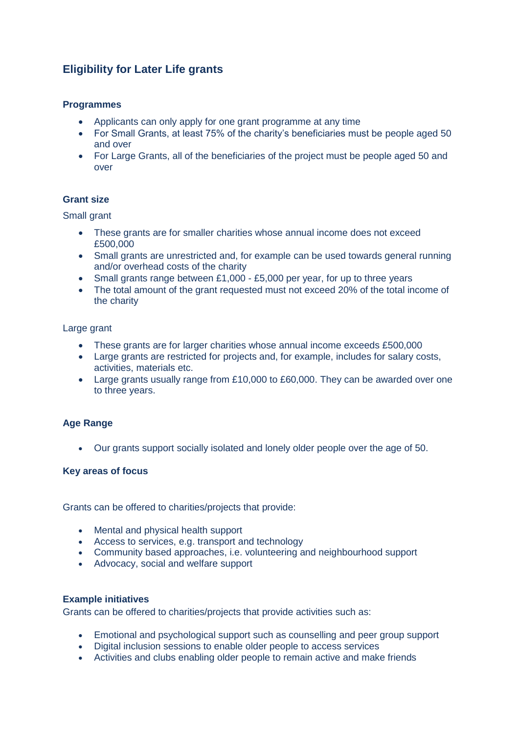# **Eligibility for Later Life grants**

# **Programmes**

- Applicants can only apply for one grant programme at any time
- For Small Grants, at least 75% of the charity's beneficiaries must be people aged 50 and over
- For Large Grants, all of the beneficiaries of the project must be people aged 50 and over

# **Grant size**

Small grant

- These grants are for smaller charities whose annual income does not exceed £500,000
- Small grants are unrestricted and, for example can be used towards general running and/or overhead costs of the charity
- Small grants range between £1,000 £5,000 per year, for up to three years
- The total amount of the grant requested must not exceed 20% of the total income of the charity

Large grant

- These grants are for larger charities whose annual income exceeds £500,000
- Large grants are restricted for projects and, for example, includes for salary costs, activities, materials etc.
- Large grants usually range from £10,000 to £60,000. They can be awarded over one to three years.

# **Age Range**

Our grants support socially isolated and lonely older people over the age of 50.

# **Key areas of focus**

Grants can be offered to charities/projects that provide:

- Mental and physical health support
- Access to services, e.g. transport and technology
- Community based approaches, i.e. volunteering and neighbourhood support
- Advocacy, social and welfare support

#### **Example initiatives**

Grants can be offered to charities/projects that provide activities such as:

- Emotional and psychological support such as counselling and peer group support
- Digital inclusion sessions to enable older people to access services
- Activities and clubs enabling older people to remain active and make friends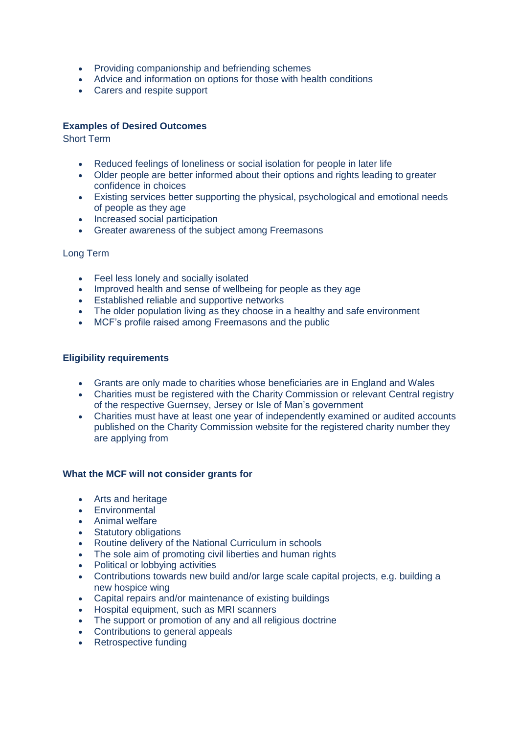- Providing companionship and befriending schemes
- Advice and information on options for those with health conditions
- Carers and respite support

# **Examples of Desired Outcomes**

Short Term

- Reduced feelings of loneliness or social isolation for people in later life
- Older people are better informed about their options and rights leading to greater confidence in choices
- Existing services better supporting the physical, psychological and emotional needs of people as they age
- Increased social participation
- Greater awareness of the subject among Freemasons

# Long Term

- Feel less lonely and socially isolated
- Improved health and sense of wellbeing for people as they age
- Established reliable and supportive networks
- The older population living as they choose in a healthy and safe environment
- MCF's profile raised among Freemasons and the public

# **Eligibility requirements**

- Grants are only made to charities whose beneficiaries are in England and Wales
- Charities must be registered with the Charity Commission or relevant Central registry of the respective Guernsey, Jersey or Isle of Man's government
- Charities must have at least one year of independently examined or audited accounts published on the Charity Commission website for the registered charity number they are applying from

# **What the MCF will not consider grants for**

- Arts and heritage
- **•** Environmental
- Animal welfare
- Statutory obligations
- Routine delivery of the National Curriculum in schools
- The sole aim of promoting civil liberties and human rights
- Political or lobbying activities
- Contributions towards new build and/or large scale capital projects, e.g. building a new hospice wing
- Capital repairs and/or maintenance of existing buildings
- Hospital equipment, such as MRI scanners
- The support or promotion of any and all religious doctrine
- Contributions to general appeals
- Retrospective funding